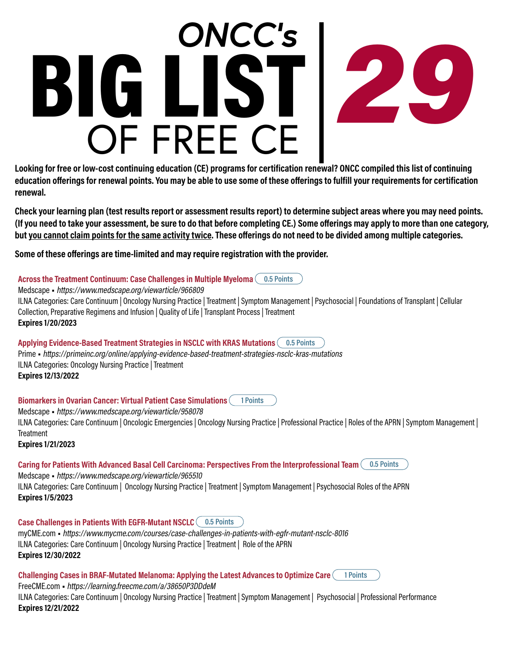# OF FREE CE BIG LIST *29 ONCC's*

**Looking for free or low-cost continuing education (CE) programs for certification renewal? ONCC compiled this list of continuing education offerings for renewal points. You may be able to use some of these offerings to fulfill your requirements for certification renewal.**

**Check your learning plan (test results report or assessment results report) to determine subject areas where you may need points. (If you need to take your assessment, be sure to do that before completing CE.) Some offerings may apply to more than one category, but you cannot claim points for the same activity twice. These offerings do not need to be divided among multiple categories.**

**Some of these offerings are time-limited and may require registration with the provider.**

**Across the Treatment Continuum: Case Challenges in Multiple Myeloma 0.5 Points** Medscape • https://www.medscape.org/viewarticle/966809 ILNA Categories: Care Continuum | Oncology Nursing Practice | Treatment | Symptom Management | Psychosocial | Foundations of Transplant | Cellular Collection, Preparative Regimens and Infusion | Quality of Life | Transplant Process | Treatment **Expires 1/20/2023**

**Applying Evidence-Based Treatment Strategies in NSCLC with KRAS Mutations 0.5 Points** Prime • https://primeinc.org/online/applying-evidence-based-treatment-strategies-nsclc-kras-mutations ILNA Categories: Oncology Nursing Practice | Treatment **Expires 12/13/2022**

**Biomarkers in Ovarian Cancer: Virtual Patient Case Simulations 1 Points**

Medscape • https://www.medscape.org/viewarticle/958078

ILNA Categories: Care Continuum | Oncologic Emergencies | Oncology Nursing Practice | Professional Practice | Roles of the APRN | Symptom Management | **Treatment** 

**Expires 1/21/2023**

**Caring for Patients With Advanced Basal Cell Carcinoma: Perspectives From the Interprofessional Team 0.5 Points**

Medscape • https://www.medscape.org/viewarticle/965510 ILNA Categories: Care Continuum | Oncology Nursing Practice | Treatment | Symptom Management | Psychosocial Roles of the APRN **Expires 1/5/2023**

**Case Challenges in Patients With EGFR-Mutant NSCLC 0.5 Points**

myCME.com • https://www.mycme.com/courses/case-challenges-in-patients-with-egfr-mutant-nsclc-8016 ILNA Categories: Care Continuum | Oncology Nursing Practice | Treatment | Role of the APRN **Expires 12/30/2022**

**Challenging Cases in BRAF-Mutated Melanoma: Applying the Latest Advances to Optimize Care 1 Points** FreeCME.com • https://learning.freecme.com/a/38650P3DDdeM ILNA Categories: Care Continuum | Oncology Nursing Practice | Treatment | Symptom Management | Psychosocial | Professional Performance **Expires 12/21/2022**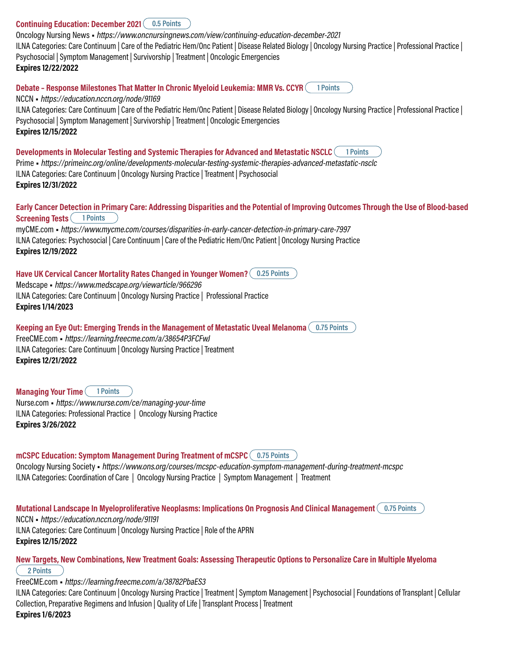#### **Continuing Education: December 2021 0.5 Points**

Oncology Nursing News • https://www.oncnursingnews.com/view/continuing-education-december-2021 ILNA Categories: Care Continuum | Care of the Pediatric Hem/Onc Patient | Disease Related Biology | Oncology Nursing Practice | Professional Practice | Psychosocial | Symptom Management | Survivorship | Treatment | Oncologic Emergencies **Expires 12/22/2022**

**Debate – Response Milestones That Matter In Chronic Myeloid Leukemia: MMR Vs. CCYR 1 Points**

NCCN • https://education.nccn.org/node/91169

ILNA Categories: Care Continuum | Care of the Pediatric Hem/Onc Patient | Disease Related Biology | Oncology Nursing Practice | Professional Practice | Psychosocial | Symptom Management | Survivorship | Treatment | Oncologic Emergencies **Expires 12/15/2022**

**Developments in Molecular Testing and Systemic Therapies for Advanced and Metastatic NSCLC 1 Points** Prime • https://primeinc.org/online/developments-molecular-testing-systemic-therapies-advanced-metastatic-nsclc ILNA Categories: Care Continuum | Oncology Nursing Practice | Treatment | Psychosocial **Expires 12/31/2022**

## **Early Cancer Detection in Primary Care: Addressing Disparities and the Potential of Improving Outcomes Through the Use of Blood-based Screening Tests 1 Points**

myCME.com • https://www.mycme.com/courses/disparities-in-early-cancer-detection-in-primary-care-7997 ILNA Categories: Psychosocial | Care Continuum | Care of the Pediatric Hem/Onc Patient | Oncology Nursing Practice **Expires 12/19/2022**

**Have UK Cervical Cancer Mortality Rates Changed in Younger Women? 0.25 Points** Medscape • https://www.medscape.org/viewarticle/966296 ILNA Categories: Care Continuum | Oncology Nursing Practice | Professional Practice **Expires 1/14/2023**

**Keeping an Eye Out: Emerging Trends in the Management of Metastatic Uveal Melanoma 0.75 Points**

FreeCME.com • https://learning.freecme.com/a/38654P3FCFwJ ILNA Categories: Care Continuum | Oncology Nursing Practice | Treatment **Expires 12/21/2022**

**Managing Your Time 1 Points**

Nurse.com • https://www.nurse.com/ce/managing-your-time ILNA Categories: Professional Practice | Oncology Nursing Practice **Expires 3/26/2022**

**mCSPC Education: Symptom Management During Treatment of mCSPC 0.75 Points** Oncology Nursing Society • https://www.ons.org/courses/mcspc-education-symptom-management-during-treatment-mcspc ILNA Categories: Coordination of Care | Oncology Nursing Practice | Symptom Management | Treatment

**Mutational Landscape In Myeloproliferative Neoplasms: Implications On Prognosis And Clinical Management 0.75 Points**

NCCN • https://education.nccn.org/node/91191 ILNA Categories: Care Continuum | Oncology Nursing Practice | Role of the APRN

**Expires 12/15/2022**

**New Targets, New Combinations, New Treatment Goals: Assessing Therapeutic Options to Personalize Care in Multiple Myeloma 2 Points**

FreeCME.com • https://learning.freecme.com/a/38782PbaES3

ILNA Categories: Care Continuum | Oncology Nursing Practice | Treatment | Symptom Management | Psychosocial | Foundations of Transplant | Cellular Collection, Preparative Regimens and Infusion | Quality of Life | Transplant Process | Treatment **Expires 1/6/2023**